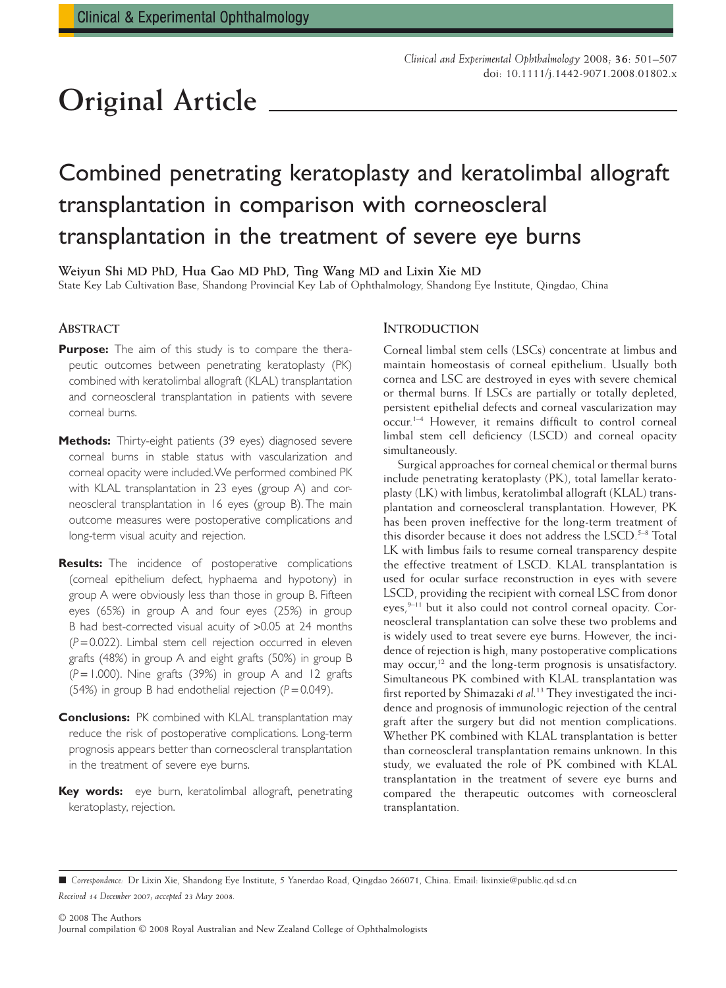# **Original Article**

## Combined penetrating keratoplasty and keratolimbal allograft transplantation in comparison with corneoscleral transplantation in the treatment of severe eye burns

**Weiyun Shi MD PhD, Hua Gao MD PhD, Ting Wang MD and Lixin Xie MD** State Key Lab Cultivation Base, Shandong Provincial Key Lab of Ophthalmology, Shandong Eye Institute, Qingdao, China

#### **ABSTRACT**

- **Purpose:** The aim of this study is to compare the therapeutic outcomes between penetrating keratoplasty (PK) combined with keratolimbal allograft (KLAL) transplantation and corneoscleral transplantation in patients with severe corneal burns.
- **Methods:** Thirty-eight patients (39 eyes) diagnosed severe corneal burns in stable status with vascularization and corneal opacity were included.We performed combined PK with KLAL transplantation in 23 eyes (group A) and corneoscleral transplantation in 16 eyes (group B). The main outcome measures were postoperative complications and long-term visual acuity and rejection.
- **Results:** The incidence of postoperative complications (corneal epithelium defect, hyphaema and hypotony) in group A were obviously less than those in group B. Fifteen eyes (65%) in group A and four eyes (25%) in group B had best-corrected visual acuity of >0.05 at 24 months (*P* = 0.022). Limbal stem cell rejection occurred in eleven grafts (48%) in group A and eight grafts (50%) in group B (*P* = 1.000). Nine grafts (39%) in group A and 12 grafts (54%) in group B had endothelial rejection (*P* = 0.049).
- **Conclusions:** PK combined with KLAL transplantation may reduce the risk of postoperative complications. Long-term prognosis appears better than corneoscleral transplantation in the treatment of severe eye burns.
- **Key words:** eye burn, keratolimbal allograft, penetrating keratoplasty, rejection.

#### **INTRODUCTION**

Corneal limbal stem cells (LSCs) concentrate at limbus and maintain homeostasis of corneal epithelium. Usually both cornea and LSC are destroyed in eyes with severe chemical or thermal burns. If LSCs are partially or totally depleted, persistent epithelial defects and corneal vascularization may occur.1–4 However, it remains difficult to control corneal limbal stem cell deficiency (LSCD) and corneal opacity simultaneously.

Surgical approaches for corneal chemical or thermal burns include penetrating keratoplasty (PK), total lamellar keratoplasty (LK) with limbus, keratolimbal allograft (KLAL) transplantation and corneoscleral transplantation. However, PK has been proven ineffective for the long-term treatment of this disorder because it does not address the LSCD.<sup>5-8</sup> Total LK with limbus fails to resume corneal transparency despite the effective treatment of LSCD. KLAL transplantation is used for ocular surface reconstruction in eyes with severe LSCD, providing the recipient with corneal LSC from donor eyes,<sup>9-11</sup> but it also could not control corneal opacity. Corneoscleral transplantation can solve these two problems and is widely used to treat severe eye burns. However, the incidence of rejection is high, many postoperative complications may occur,<sup>12</sup> and the long-term prognosis is unsatisfactory. Simultaneous PK combined with KLAL transplantation was first reported by Shimazaki *et al.*<sup>13</sup> They investigated the incidence and prognosis of immunologic rejection of the central graft after the surgery but did not mention complications. Whether PK combined with KLAL transplantation is better than corneoscleral transplantation remains unknown. In this study, we evaluated the role of PK combined with KLAL transplantation in the treatment of severe eye burns and compared the therapeutic outcomes with corneoscleral transplantation.

<sup>■</sup> Correspondence: Dr Lixin Xie, Shandong Eye Institute, 5 Yanerdao Road, Qingdao 266071, China. Email: [lixinxie@public.qd.sd.cn](mailto:lixinxie@public.qd.sd.cn) *Received 14 December 2007; accepted 23 May 2008.*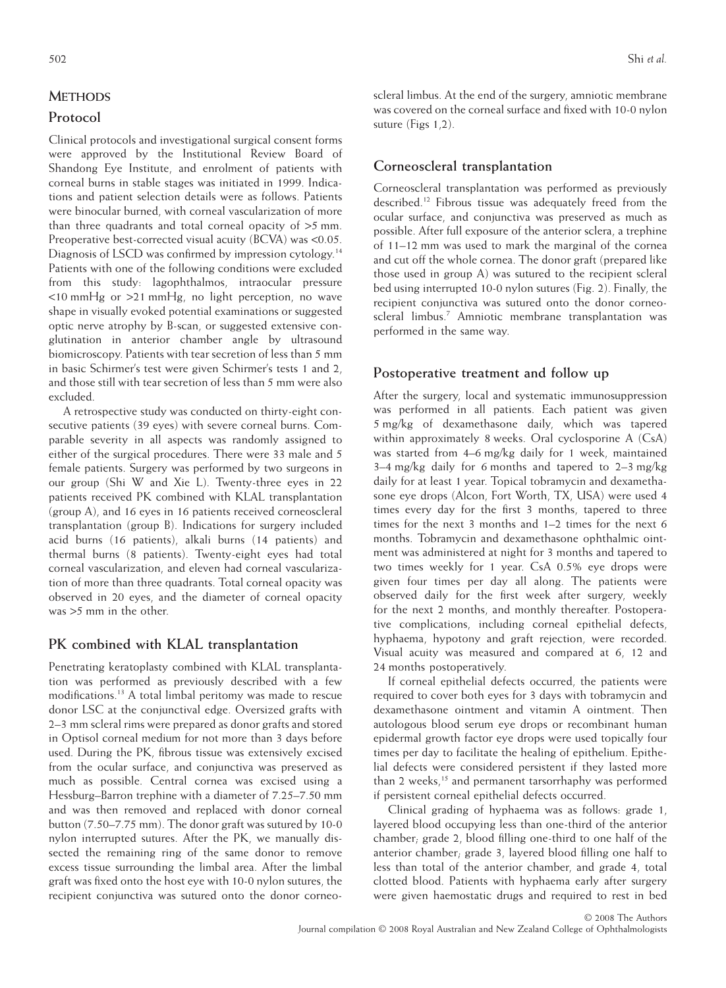## **METHODS**

## **Protocol**

Clinical protocols and investigational surgical consent forms were approved by the Institutional Review Board of Shandong Eye Institute, and enrolment of patients with corneal burns in stable stages was initiated in 1999. Indications and patient selection details were as follows. Patients were binocular burned, with corneal vascularization of more than three quadrants and total corneal opacity of  $>5$  mm. Preoperative best-corrected visual acuity (BCVA) was <0.05. Diagnosis of LSCD was confirmed by impression cytology.<sup>14</sup> Patients with one of the following conditions were excluded from this study: lagophthalmos, intraocular pressure <10 mmHg or >21 mmHg, no light perception, no wave shape in visually evoked potential examinations or suggested optic nerve atrophy by B-scan, or suggested extensive conglutination in anterior chamber angle by ultrasound biomicroscopy. Patients with tear secretion of less than 5 mm in basic Schirmer's test were given Schirmer's tests 1 and 2, and those still with tear secretion of less than 5 mm were also excluded.

A retrospective study was conducted on thirty-eight consecutive patients (39 eyes) with severe corneal burns. Comparable severity in all aspects was randomly assigned to either of the surgical procedures. There were 33 male and 5 female patients. Surgery was performed by two surgeons in our group (Shi W and Xie L). Twenty-three eyes in 22 patients received PK combined with KLAL transplantation (group A), and 16 eyes in 16 patients received corneoscleral transplantation (group B). Indications for surgery included acid burns (16 patients), alkali burns (14 patients) and thermal burns (8 patients). Twenty-eight eyes had total corneal vascularization, and eleven had corneal vascularization of more than three quadrants. Total corneal opacity was observed in 20 eyes, and the diameter of corneal opacity was >5 mm in the other.

#### **PK combined with KLAL transplantation**

Penetrating keratoplasty combined with KLAL transplantation was performed as previously described with a few modifications.13 A total limbal peritomy was made to rescue donor LSC at the conjunctival edge. Oversized grafts with 2–3 mm scleral rims were prepared as donor grafts and stored in Optisol corneal medium for not more than 3 days before used. During the PK, fibrous tissue was extensively excised from the ocular surface, and conjunctiva was preserved as much as possible. Central cornea was excised using a Hessburg–Barron trephine with a diameter of 7.25–7.50 mm and was then removed and replaced with donor corneal button (7.50–7.75 mm). The donor graft was sutured by 10-0 nylon interrupted sutures. After the PK, we manually dissected the remaining ring of the same donor to remove excess tissue surrounding the limbal area. After the limbal graft was fixed onto the host eye with 10-0 nylon sutures, the recipient conjunctiva was sutured onto the donor corneoscleral limbus. At the end of the surgery, amniotic membrane was covered on the corneal surface and fixed with 10-0 nylon suture (Figs 1,2).

## **Corneoscleral transplantation**

Corneoscleral transplantation was performed as previously described.12 Fibrous tissue was adequately freed from the ocular surface, and conjunctiva was preserved as much as possible. After full exposure of the anterior sclera, a trephine of 11–12 mm was used to mark the marginal of the cornea and cut off the whole cornea. The donor graft (prepared like those used in group A) was sutured to the recipient scleral bed using interrupted 10-0 nylon sutures (Fig. 2). Finally, the recipient conjunctiva was sutured onto the donor corneoscleral limbus.<sup>7</sup> Amniotic membrane transplantation was performed in the same way.

## **Postoperative treatment and follow up**

After the surgery, local and systematic immunosuppression was performed in all patients. Each patient was given 5 mg/kg of dexamethasone daily, which was tapered within approximately 8 weeks. Oral cyclosporine A (CsA) was started from 4–6 mg/kg daily for 1 week, maintained 3–4 mg/kg daily for 6 months and tapered to 2–3 mg/kg daily for at least 1 year. Topical tobramycin and dexamethasone eye drops (Alcon, Fort Worth, TX, USA) were used 4 times every day for the first 3 months, tapered to three times for the next 3 months and 1–2 times for the next 6 months. Tobramycin and dexamethasone ophthalmic ointment was administered at night for 3 months and tapered to two times weekly for 1 year. CsA 0.5% eye drops were given four times per day all along. The patients were observed daily for the first week after surgery, weekly for the next 2 months, and monthly thereafter. Postoperative complications, including corneal epithelial defects, hyphaema, hypotony and graft rejection, were recorded. Visual acuity was measured and compared at 6, 12 and 24 months postoperatively.

If corneal epithelial defects occurred, the patients were required to cover both eyes for 3 days with tobramycin and dexamethasone ointment and vitamin A ointment. Then autologous blood serum eye drops or recombinant human epidermal growth factor eye drops were used topically four times per day to facilitate the healing of epithelium. Epithelial defects were considered persistent if they lasted more than 2 weeks,<sup>15</sup> and permanent tarsorrhaphy was performed if persistent corneal epithelial defects occurred.

Clinical grading of hyphaema was as follows: grade 1, layered blood occupying less than one-third of the anterior chamber; grade 2, blood filling one-third to one half of the anterior chamber; grade 3, layered blood filling one half to less than total of the anterior chamber, and grade 4, total clotted blood. Patients with hyphaema early after surgery were given haemostatic drugs and required to rest in bed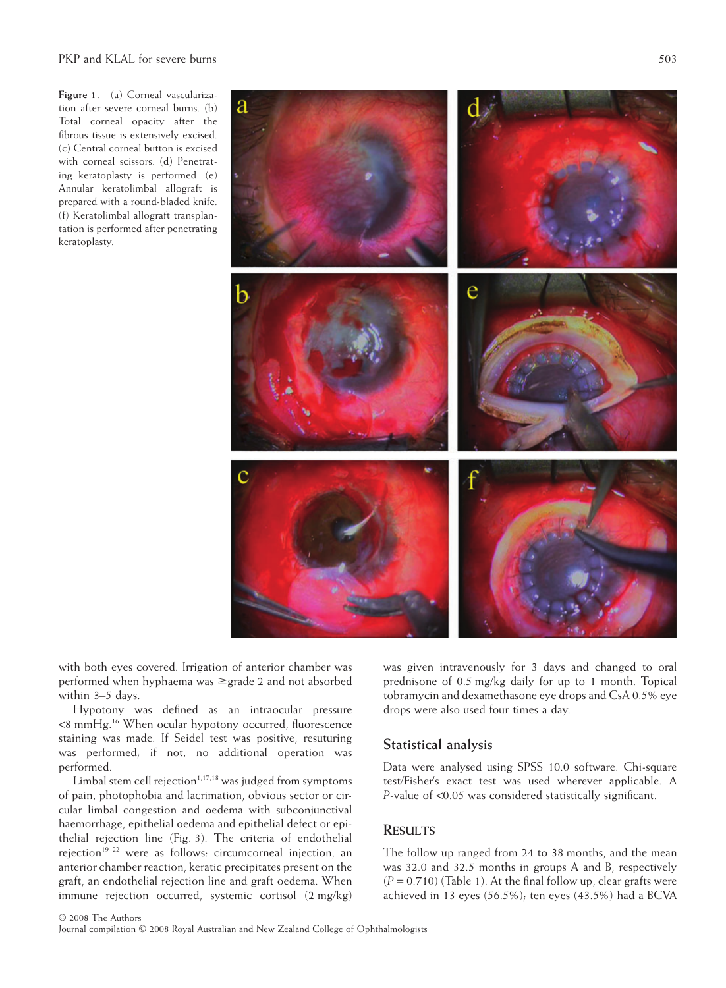**Figure 1.** (a) Corneal vascularization after severe corneal burns. (b) Total corneal opacity after the fibrous tissue is extensively excised. (c) Central corneal button is excised with corneal scissors. (d) Penetrating keratoplasty is performed. (e) Annular keratolimbal allograft is prepared with a round-bladed knife. (f) Keratolimbal allograft transplantation is performed after penetrating keratoplasty.

with both eyes covered. Irrigation of anterior chamber was performed when hyphaema was ≥grade 2 and not absorbed within 3–5 days.

Hypotony was defined as an intraocular pressure <8 mmHg.16 When ocular hypotony occurred, fluorescence staining was made. If Seidel test was positive, resuturing was performed; if not, no additional operation was performed.

Limbal stem cell rejection $1,17,18$  was judged from symptoms of pain, photophobia and lacrimation, obvious sector or circular limbal congestion and oedema with subconjunctival haemorrhage, epithelial oedema and epithelial defect or epithelial rejection line (Fig. 3). The criteria of endothelial reiection<sup>19-22</sup> were as follows: circumcorneal injection, an anterior chamber reaction, keratic precipitates present on the graft, an endothelial rejection line and graft oedema. When immune rejection occurred, systemic cortisol (2 mg/kg) was given intravenously for 3 days and changed to oral prednisone of 0.5 mg/kg daily for up to 1 month. Topical tobramycin and dexamethasone eye drops and CsA 0.5% eye drops were also used four times a day.

## **Statistical analysis**

Data were analysed using SPSS 10.0 software. Chi-square test/Fisher's exact test was used wherever applicable. A *P*-value of <0.05 was considered statistically significant.

## **RESULTS**

The follow up ranged from 24 to 38 months, and the mean was 32.0 and 32.5 months in groups A and B, respectively  $(P = 0.710)$  (Table 1). At the final follow up, clear grafts were achieved in 13 eyes (56.5%); ten eyes (43.5%) had a BCVA

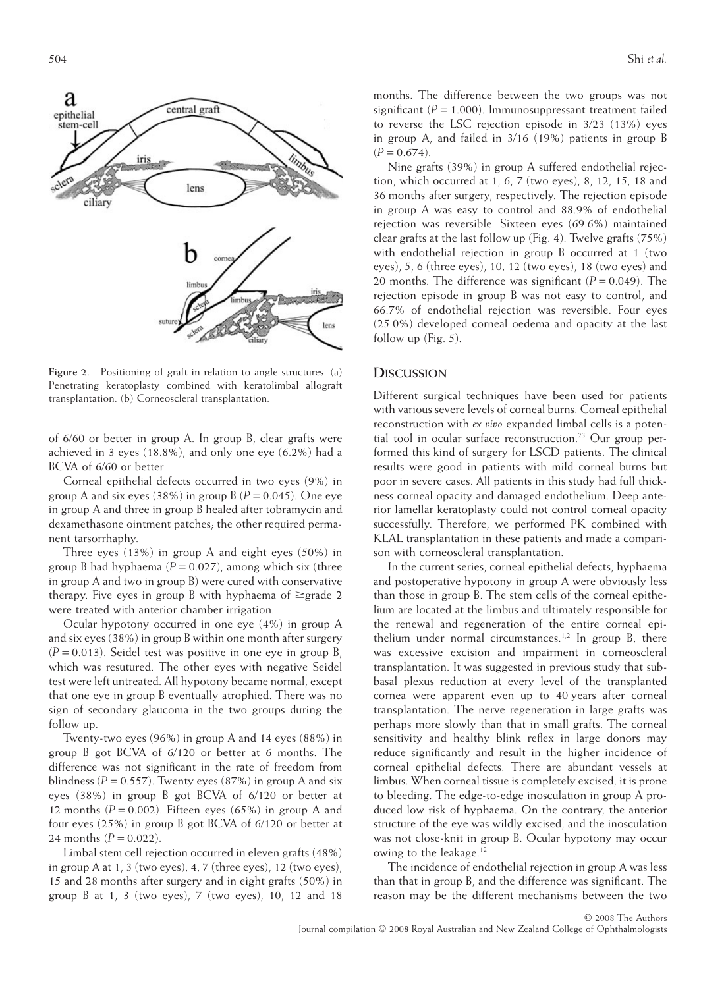

**Figure 2.** Positioning of graft in relation to angle structures. (a) Penetrating keratoplasty combined with keratolimbal allograft transplantation. (b) Corneoscleral transplantation.

of 6/60 or better in group A. In group B, clear grafts were achieved in 3 eyes (18.8%), and only one eye (6.2%) had a BCVA of 6/60 or better.

Corneal epithelial defects occurred in two eyes (9%) in group A and six eyes (38%) in group B  $(P = 0.045)$ . One eye in group A and three in group B healed after tobramycin and dexamethasone ointment patches; the other required permanent tarsorrhaphy.

Three eyes (13%) in group A and eight eyes (50%) in group B had hyphaema  $(P = 0.027)$ , among which six (three in group A and two in group B) were cured with conservative therapy. Five eyes in group B with hyphaema of  $\geq$ grade 2 were treated with anterior chamber irrigation.

Ocular hypotony occurred in one eye (4%) in group A and six eyes (38%) in group B within one month after surgery  $(P = 0.013)$ . Seidel test was positive in one eye in group B, which was resutured. The other eyes with negative Seidel test were left untreated. All hypotony became normal, except that one eye in group B eventually atrophied. There was no sign of secondary glaucoma in the two groups during the follow up.

Twenty-two eyes (96%) in group A and 14 eyes (88%) in group B got BCVA of 6/120 or better at 6 months. The difference was not significant in the rate of freedom from blindness ( $P = 0.557$ ). Twenty eyes (87%) in group A and six eyes (38%) in group B got BCVA of 6/120 or better at 12 months  $(P = 0.002)$ . Fifteen eyes (65%) in group A and four eyes (25%) in group B got BCVA of 6/120 or better at 24 months  $(P = 0.022)$ .

Limbal stem cell rejection occurred in eleven grafts (48%) in group A at 1, 3 (two eyes), 4, 7 (three eyes), 12 (two eyes), 15 and 28 months after surgery and in eight grafts (50%) in group B at 1, 3 (two eyes), 7 (two eyes), 10, 12 and 18

months. The difference between the two groups was not significant  $(P = 1.000)$ . Immunosuppressant treatment failed to reverse the LSC rejection episode in 3/23 (13%) eyes in group A, and failed in 3/16 (19%) patients in group B  $(P = 0.674)$ .

Nine grafts (39%) in group A suffered endothelial rejection, which occurred at 1, 6, 7 (two eyes), 8, 12, 15, 18 and 36 months after surgery, respectively. The rejection episode in group A was easy to control and 88.9% of endothelial rejection was reversible. Sixteen eyes (69.6%) maintained clear grafts at the last follow up (Fig. 4). Twelve grafts (75%) with endothelial rejection in group B occurred at 1 (two eyes), 5, 6 (three eyes), 10, 12 (two eyes), 18 (two eyes) and 20 months. The difference was significant  $(P = 0.049)$ . The rejection episode in group B was not easy to control, and 66.7% of endothelial rejection was reversible. Four eyes (25.0%) developed corneal oedema and opacity at the last follow up (Fig. 5).

#### **DISCUSSION**

Different surgical techniques have been used for patients with various severe levels of corneal burns. Corneal epithelial reconstruction with *ex vivo* expanded limbal cells is a potential tool in ocular surface reconstruction.<sup>23</sup> Our group performed this kind of surgery for LSCD patients. The clinical results were good in patients with mild corneal burns but poor in severe cases. All patients in this study had full thickness corneal opacity and damaged endothelium. Deep anterior lamellar keratoplasty could not control corneal opacity successfully. Therefore, we performed PK combined with KLAL transplantation in these patients and made a comparison with corneoscleral transplantation.

In the current series, corneal epithelial defects, hyphaema and postoperative hypotony in group A were obviously less than those in group B. The stem cells of the corneal epithelium are located at the limbus and ultimately responsible for the renewal and regeneration of the entire corneal epithelium under normal circumstances.<sup>1,2</sup> In group B, there was excessive excision and impairment in corneoscleral transplantation. It was suggested in previous study that subbasal plexus reduction at every level of the transplanted cornea were apparent even up to 40 years after corneal transplantation. The nerve regeneration in large grafts was perhaps more slowly than that in small grafts. The corneal sensitivity and healthy blink reflex in large donors may reduce significantly and result in the higher incidence of corneal epithelial defects. There are abundant vessels at limbus. When corneal tissue is completely excised, it is prone to bleeding. The edge-to-edge inosculation in group A produced low risk of hyphaema. On the contrary, the anterior structure of the eye was wildly excised, and the inosculation was not close-knit in group B. Ocular hypotony may occur owing to the leakage.<sup>12</sup>

The incidence of endothelial rejection in group A was less than that in group B, and the difference was significant. The reason may be the different mechanisms between the two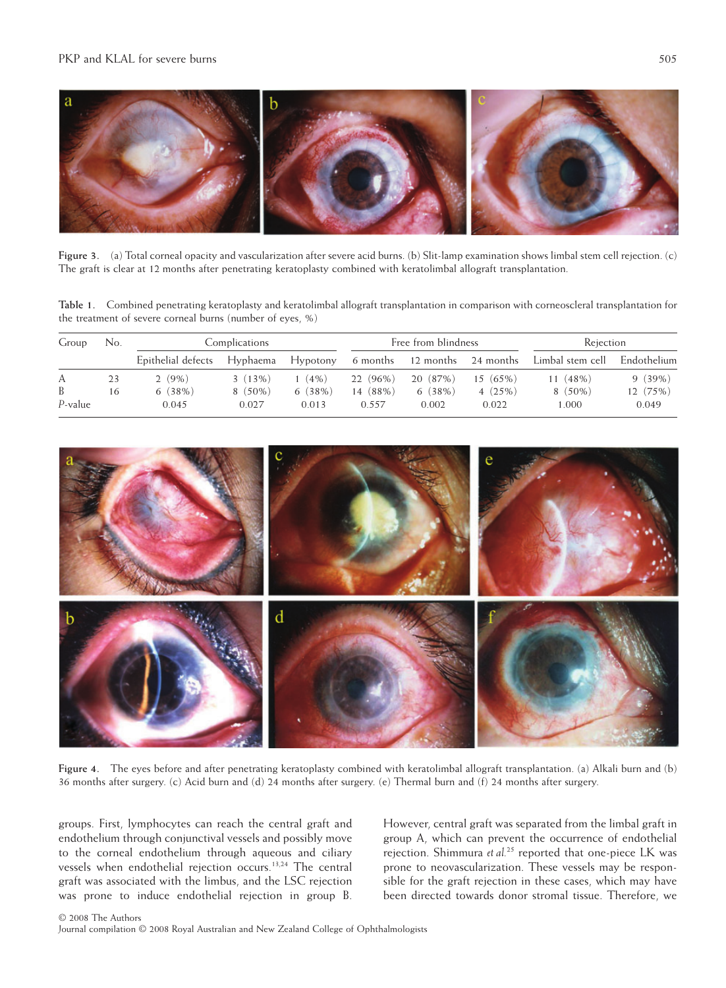

**Figure 3.** (a) Total corneal opacity and vascularization after severe acid burns. (b) Slit-lamp examination shows limbal stem cell rejection. (c) The graft is clear at 12 months after penetrating keratoplasty combined with keratolimbal allograft transplantation.

**Table 1.** Combined penetrating keratoplasty and keratolimbal allograft transplantation in comparison with corneoscleral transplantation for the treatment of severe corneal burns (number of eyes, %)

| Group      | No. | Complications      |           |          | Free from blindness |          |                              | Rejection                      |          |
|------------|-----|--------------------|-----------|----------|---------------------|----------|------------------------------|--------------------------------|----------|
|            |     | Epithelial defects | Hyphaema  | Hypotony |                     |          | 6 months 12 months 24 months | Limbal stem cell - Endothelium |          |
| А          | 23  | $2(9\%)$           | 3(13%)    | $1(4\%)$ | 22 (96%)            | 20 (87%) | $15(65\%)$                   | $11(48\%)$                     | 9(39%)   |
| B          | 16  | 6(38%)             | $8(50\%)$ | 6(38%)   | 14 (88%)            | 6(38%)   | 4(25%)                       | $8(50\%)$                      | 12 (75%) |
| $P$ -value |     | 0.045              | 0.027     | 0.013    | 0.557               | 0.002    | 0.022                        | 000.1                          | 0.049    |



**Figure 4.** The eyes before and after penetrating keratoplasty combined with keratolimbal allograft transplantation. (a) Alkali burn and (b) 36 months after surgery. (c) Acid burn and (d) 24 months after surgery. (e) Thermal burn and (f) 24 months after surgery.

groups. First, lymphocytes can reach the central graft and endothelium through conjunctival vessels and possibly move to the corneal endothelium through aqueous and ciliary vessels when endothelial rejection occurs.13,24 The central graft was associated with the limbus, and the LSC rejection was prone to induce endothelial rejection in group B.

However, central graft was separated from the limbal graft in group A, which can prevent the occurrence of endothelial rejection. Shimmura *et al.*<sup>25</sup> reported that one-piece LK was prone to neovascularization. These vessels may be responsible for the graft rejection in these cases, which may have been directed towards donor stromal tissue. Therefore, we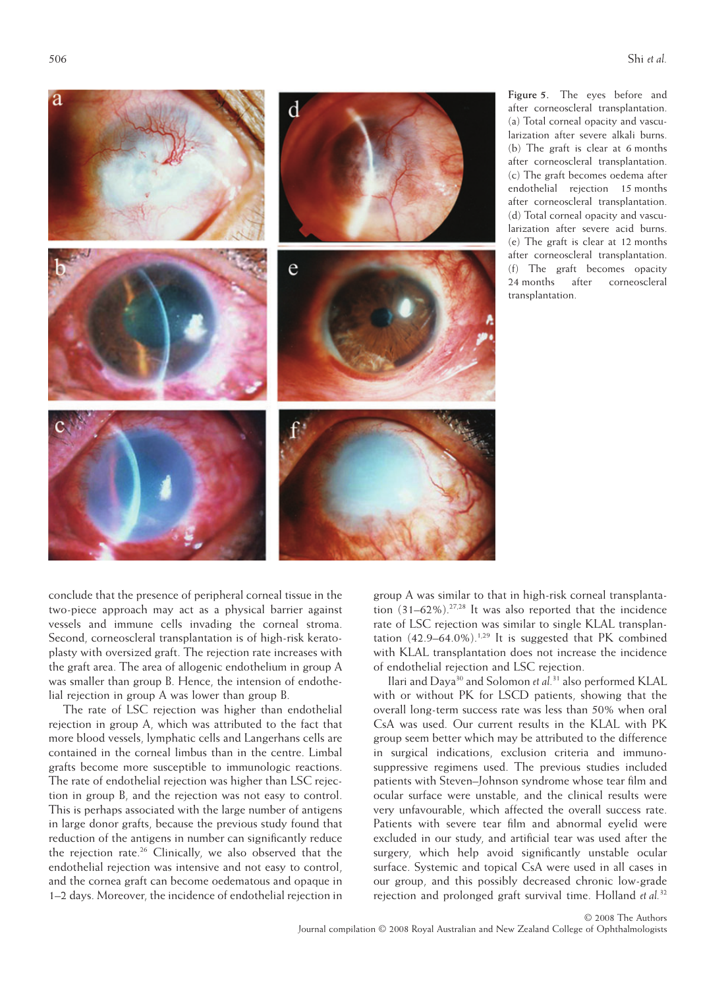

**Figure 5.** The eyes before and after corneoscleral transplantation. (a) Total corneal opacity and vascularization after severe alkali burns. (b) The graft is clear at 6 months after corneoscleral transplantation. (c) The graft becomes oedema after endothelial rejection 15 months after corneoscleral transplantation. (d) Total corneal opacity and vascularization after severe acid burns. (e) The graft is clear at 12 months after corneoscleral transplantation. (f) The graft becomes opacity 24 months after corneoscleral transplantation.

conclude that the presence of peripheral corneal tissue in the two-piece approach may act as a physical barrier against vessels and immune cells invading the corneal stroma. Second, corneoscleral transplantation is of high-risk keratoplasty with oversized graft. The rejection rate increases with the graft area. The area of allogenic endothelium in group A was smaller than group B. Hence, the intension of endothelial rejection in group A was lower than group B.

The rate of LSC rejection was higher than endothelial rejection in group A, which was attributed to the fact that more blood vessels, lymphatic cells and Langerhans cells are contained in the corneal limbus than in the centre. Limbal grafts become more susceptible to immunologic reactions. The rate of endothelial rejection was higher than LSC rejection in group B, and the rejection was not easy to control. This is perhaps associated with the large number of antigens in large donor grafts, because the previous study found that reduction of the antigens in number can significantly reduce the rejection rate.<sup>26</sup> Clinically, we also observed that the endothelial rejection was intensive and not easy to control, and the cornea graft can become oedematous and opaque in 1–2 days. Moreover, the incidence of endothelial rejection in

group A was similar to that in high-risk corneal transplantation  $(31-62\%)$ .<sup>27,28</sup> It was also reported that the incidence rate of LSC rejection was similar to single KLAL transplantation  $(42.9-64.0\%)$ <sup>1,29</sup> It is suggested that PK combined with KLAL transplantation does not increase the incidence of endothelial rejection and LSC rejection.

Ilari and Daya30 and Solomon *et al.*<sup>31</sup> also performed KLAL with or without PK for LSCD patients, showing that the overall long-term success rate was less than 50% when oral CsA was used. Our current results in the KLAL with PK group seem better which may be attributed to the difference in surgical indications, exclusion criteria and immunosuppressive regimens used. The previous studies included patients with Steven–Johnson syndrome whose tear film and ocular surface were unstable, and the clinical results were very unfavourable, which affected the overall success rate. Patients with severe tear film and abnormal eyelid were excluded in our study, and artificial tear was used after the surgery, which help avoid significantly unstable ocular surface. Systemic and topical CsA were used in all cases in our group, and this possibly decreased chronic low-grade rejection and prolonged graft survival time. Holland *et al.*<sup>32</sup>